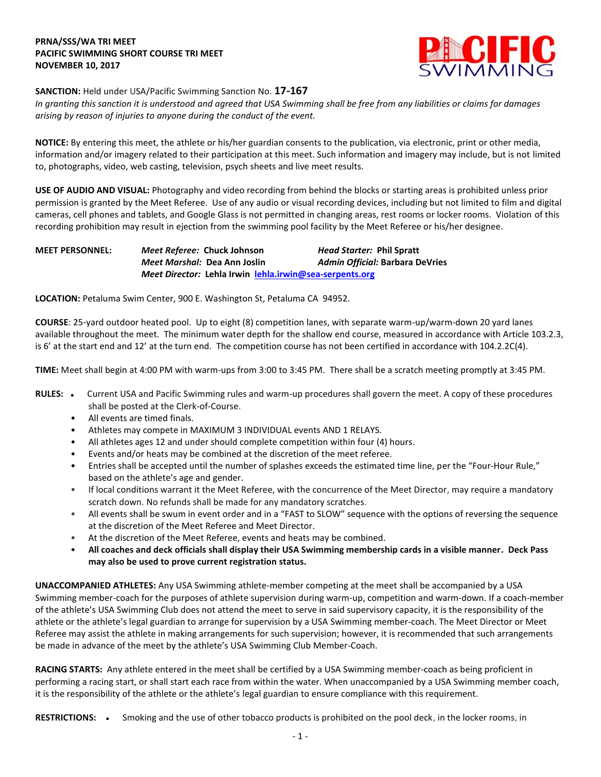## **PRNA/SSS/WA TRI MEET PACIFIC SWIMMING SHORT COURSE TRI MEET NOVEMBER 10, 2017**



## **SANCTION:** Held under USA/Pacific Swimming Sanction No. **17-167**

*In granting this sanction it is understood and agreed that USA Swimming shall be free from any liabilities or claims for damages arising by reason of injuries to anyone during the conduct of the event.*

**NOTICE:** By entering this meet, the athlete or his/her guardian consents to the publication, via electronic, print or other media, information and/or imagery related to their participation at this meet. Such information and imagery may include, but is not limited to, photographs, video, web casting, television, psych sheets and live meet results.

**USE OF AUDIO AND VISUAL:** Photography and video recording from behind the blocks or starting areas is prohibited unless prior permission is granted by the Meet Referee. Use of any audio or visual recording devices, including but not limited to film and digital cameras, cell phones and tablets, and Google Glass is not permitted in changing areas, rest rooms or locker rooms. Violation of this recording prohibition may result in ejection from the swimming pool facility by the Meet Referee or his/her designee.

**MEET PERSONNEL:** *Meet Referee:* **Chuck Johnson** *Head Starter:* **Phil Spratt** *Meet Marshal:* **Dea Ann Joslin** *Admin Official:* **Barbara DeVries** *Meet Director:* **Lehla Irwin [lehla.irwin@sea-serpents.org](mailto:lehla.irwin@sea-serpents.org)**

**LOCATION:** Petaluma Swim Center, 900 E. Washington St, Petaluma CA 94952.

**COURSE**: 25-yard outdoor heated pool. Up to eight (8) competition lanes, with separate warm-up/warm-down 20 yard lanes available throughout the meet. The minimum water depth for the shallow end course, measured in accordance with Article 103.2.3, is 6' at the start end and 12' at the turn end. The competition course has not been certified in accordance with 104.2.2C(4).

**TIME:** Meet shall begin at 4:00 PM with warm-ups from 3:00 to 3:45 PM. There shall be a scratch meeting promptly at 3:45 PM.

- RULES: . Current USA and Pacific Swimming rules and warm-up procedures shall govern the meet. A copy of these procedures shall be posted at the Clerk-of-Course.
	- All events are timed finals.
	- Athletes may compete in MAXIMUM 3 INDIVIDUAL events AND 1 RELAYS.
	- All athletes ages 12 and under should complete competition within four (4) hours.
	- Events and/or heats may be combined at the discretion of the meet referee.
	- Entries shall be accepted until the number of splashes exceeds the estimated time line, per the "Four-Hour Rule," based on the athlete's age and gender.
	- If local conditions warrant it the Meet Referee, with the concurrence of the Meet Director, may require a mandatory scratch down. No refunds shall be made for any mandatory scratches.
	- All events shall be swum in event order and in a "FAST to SLOW" sequence with the options of reversing the sequence at the discretion of the Meet Referee and Meet Director.
	- At the discretion of the Meet Referee, events and heats may be combined.
	- **All coaches and deck officials shall display their USA Swimming membership cards in a visible manner. Deck Pass may also be used to prove current registration status.**

**UNACCOMPANIED ATHLETES:** Any USA Swimming athlete-member competing at the meet shall be accompanied by a USA Swimming member-coach for the purposes of athlete supervision during warm-up, competition and warm-down. If a coach-member of the athlete's USA Swimming Club does not attend the meet to serve in said supervisory capacity, it is the responsibility of the athlete or the athlete's legal guardian to arrange for supervision by a USA Swimming member-coach. The Meet Director or Meet Referee may assist the athlete in making arrangements for such supervision; however, it is recommended that such arrangements be made in advance of the meet by the athlete's USA Swimming Club Member-Coach.

**RACING STARTS:** Any athlete entered in the meet shall be certified by a USA Swimming member-coach as being proficient in performing a racing start, or shall start each race from within the water. When unaccompanied by a USA Swimming member coach, it is the responsibility of the athlete or the athlete's legal guardian to ensure compliance with this requirement.

RESTRICTIONS: . Smoking and the use of other tobacco products is prohibited on the pool deck, in the locker rooms, in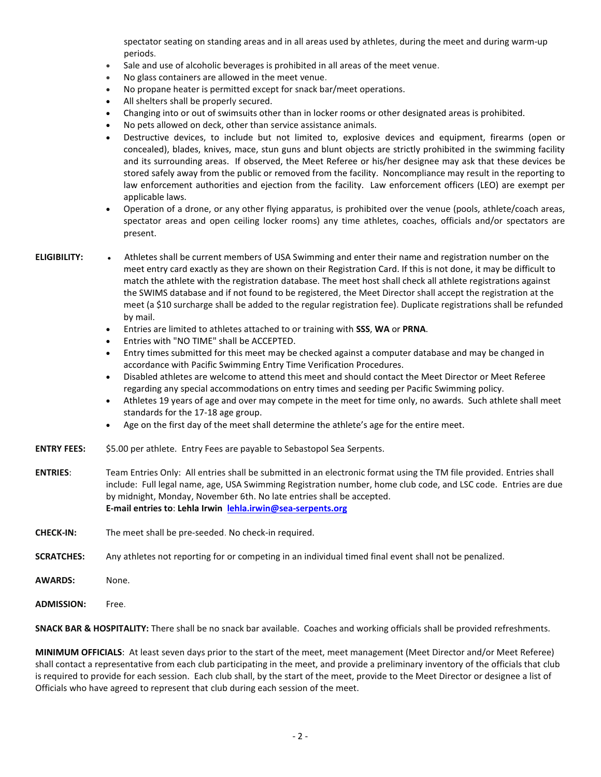spectator seating on standing areas and in all areas used by athletes, during the meet and during warm-up periods.

- Sale and use of alcoholic beverages is prohibited in all areas of the meet venue.
- No glass containers are allowed in the meet venue.
- No propane heater is permitted except for snack bar/meet operations.
- All shelters shall be properly secured.
- Changing into or out of swimsuits other than in locker rooms or other designated areas is prohibited.
- No pets allowed on deck, other than service assistance animals.
- Destructive devices, to include but not limited to, explosive devices and equipment, firearms (open or concealed), blades, knives, mace, stun guns and blunt objects are strictly prohibited in the swimming facility and its surrounding areas. If observed, the Meet Referee or his/her designee may ask that these devices be stored safely away from the public or removed from the facility. Noncompliance may result in the reporting to law enforcement authorities and ejection from the facility. Law enforcement officers (LEO) are exempt per applicable laws.
- Operation of a drone, or any other flying apparatus, is prohibited over the venue (pools, athlete/coach areas, spectator areas and open ceiling locker rooms) any time athletes, coaches, officials and/or spectators are present.

- **ELIGIBILITY:** Athletes shall be current members of USA Swimming and enter their name and registration number on the meet entry card exactly as they are shown on their Registration Card. If this is not done, it may be difficult to match the athlete with the registration database. The meet host shall check all athlete registrations against the SWIMS database and if not found to be registered, the Meet Director shall accept the registration at the meet (a \$10 surcharge shall be added to the regular registration fee). Duplicate registrations shall be refunded by mail.
	- Entries are limited to athletes attached to or training with **SSS**, **WA** or **PRNA**.
	- Entries with "NO TIME" shall be ACCEPTED.
	- Entry times submitted for this meet may be checked against a computer database and may be changed in accordance with Pacific Swimming Entry Time Verification Procedures.
	- Disabled athletes are welcome to attend this meet and should contact the Meet Director or Meet Referee regarding any special accommodations on entry times and seeding per Pacific Swimming policy.
	- Athletes 19 years of age and over may compete in the meet for time only, no awards. Such athlete shall meet standards for the 17-18 age group.
	- Age on the first day of the meet shall determine the athlete's age for the entire meet.
- **ENTRY FEES:** \$5.00 per athlete. Entry Fees are payable to Sebastopol Sea Serpents.
- **ENTRIES**: Team Entries Only: All entries shall be submitted in an electronic format using the TM file provided. Entries shall include: Full legal name, age, USA Swimming Registration number, home club code, and LSC code. Entries are due by midnight, Monday, November 6th. No late entries shall be accepted. **E-mail entries to**: **Lehla Irwin [lehla.irwin@sea-serpents.org](mailto:lehla.irwin@sea-serpents.org)**
- **CHECK-IN:** The meet shall be pre-seeded. No check-in required.
- **SCRATCHES:** Any athletes not reporting for or competing in an individual timed final event shall not be penalized.
- **AWARDS:** None.
- **ADMISSION:** Free.

**SNACK BAR & HOSPITALITY:** There shall be no snack bar available. Coaches and working officials shall be provided refreshments.

**MINIMUM OFFICIALS**: At least seven days prior to the start of the meet, meet management (Meet Director and/or Meet Referee) shall contact a representative from each club participating in the meet, and provide a preliminary inventory of the officials that club is required to provide for each session. Each club shall, by the start of the meet, provide to the Meet Director or designee a list of Officials who have agreed to represent that club during each session of the meet.